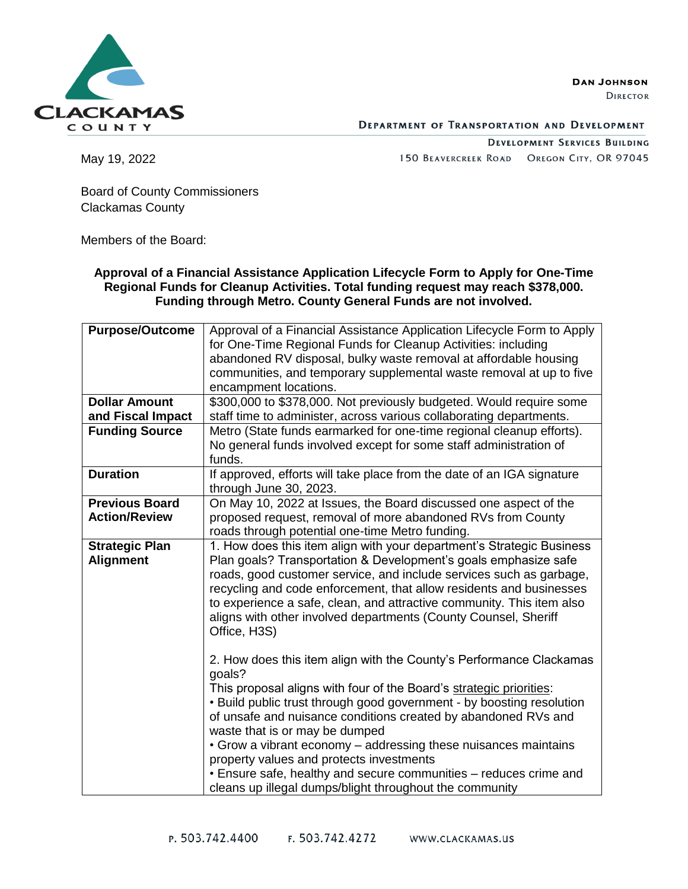**CLACKAMAS** COUNTY

**DAN JOHNSON** 

**DIRECTOR** 

**DEPARTMENT OF TRANSPORTATION AND DEVELOPMENT** 

**DEVELOPMENT SERVICES BUILDING** 150 BEAVERCREEK ROAD OREGON CITY, OR 97045

May 19, 2022

Board of County Commissioners Clackamas County

Members of the Board:

**Approval of a Financial Assistance Application Lifecycle Form to Apply for One-Time Regional Funds for Cleanup Activities. Total funding request may reach \$378,000. Funding through Metro. County General Funds are not involved.**

| <b>Purpose/Outcome</b> | Approval of a Financial Assistance Application Lifecycle Form to Apply                                                                                                                                                                                                                                                                                                                                                 |  |  |  |  |
|------------------------|------------------------------------------------------------------------------------------------------------------------------------------------------------------------------------------------------------------------------------------------------------------------------------------------------------------------------------------------------------------------------------------------------------------------|--|--|--|--|
|                        | for One-Time Regional Funds for Cleanup Activities: including                                                                                                                                                                                                                                                                                                                                                          |  |  |  |  |
|                        | abandoned RV disposal, bulky waste removal at affordable housing                                                                                                                                                                                                                                                                                                                                                       |  |  |  |  |
|                        | communities, and temporary supplemental waste removal at up to five                                                                                                                                                                                                                                                                                                                                                    |  |  |  |  |
|                        | encampment locations.                                                                                                                                                                                                                                                                                                                                                                                                  |  |  |  |  |
| <b>Dollar Amount</b>   | \$300,000 to \$378,000. Not previously budgeted. Would require some                                                                                                                                                                                                                                                                                                                                                    |  |  |  |  |
| and Fiscal Impact      | staff time to administer, across various collaborating departments.                                                                                                                                                                                                                                                                                                                                                    |  |  |  |  |
| <b>Funding Source</b>  | Metro (State funds earmarked for one-time regional cleanup efforts).                                                                                                                                                                                                                                                                                                                                                   |  |  |  |  |
|                        | No general funds involved except for some staff administration of                                                                                                                                                                                                                                                                                                                                                      |  |  |  |  |
|                        | funds.                                                                                                                                                                                                                                                                                                                                                                                                                 |  |  |  |  |
| <b>Duration</b>        | If approved, efforts will take place from the date of an IGA signature                                                                                                                                                                                                                                                                                                                                                 |  |  |  |  |
|                        | through June 30, 2023.                                                                                                                                                                                                                                                                                                                                                                                                 |  |  |  |  |
| <b>Previous Board</b>  | On May 10, 2022 at Issues, the Board discussed one aspect of the                                                                                                                                                                                                                                                                                                                                                       |  |  |  |  |
| <b>Action/Review</b>   | proposed request, removal of more abandoned RVs from County                                                                                                                                                                                                                                                                                                                                                            |  |  |  |  |
|                        | roads through potential one-time Metro funding.                                                                                                                                                                                                                                                                                                                                                                        |  |  |  |  |
| <b>Strategic Plan</b>  | 1. How does this item align with your department's Strategic Business                                                                                                                                                                                                                                                                                                                                                  |  |  |  |  |
| <b>Alignment</b>       | Plan goals? Transportation & Development's goals emphasize safe                                                                                                                                                                                                                                                                                                                                                        |  |  |  |  |
|                        | roads, good customer service, and include services such as garbage,                                                                                                                                                                                                                                                                                                                                                    |  |  |  |  |
|                        | recycling and code enforcement, that allow residents and businesses                                                                                                                                                                                                                                                                                                                                                    |  |  |  |  |
|                        | to experience a safe, clean, and attractive community. This item also                                                                                                                                                                                                                                                                                                                                                  |  |  |  |  |
|                        | aligns with other involved departments (County Counsel, Sheriff                                                                                                                                                                                                                                                                                                                                                        |  |  |  |  |
|                        | Office, H3S)                                                                                                                                                                                                                                                                                                                                                                                                           |  |  |  |  |
|                        |                                                                                                                                                                                                                                                                                                                                                                                                                        |  |  |  |  |
|                        | 2. How does this item align with the County's Performance Clackamas                                                                                                                                                                                                                                                                                                                                                    |  |  |  |  |
|                        | goals?                                                                                                                                                                                                                                                                                                                                                                                                                 |  |  |  |  |
|                        |                                                                                                                                                                                                                                                                                                                                                                                                                        |  |  |  |  |
|                        | . Build public trust through good government - by boosting resolution                                                                                                                                                                                                                                                                                                                                                  |  |  |  |  |
|                        |                                                                                                                                                                                                                                                                                                                                                                                                                        |  |  |  |  |
|                        |                                                                                                                                                                                                                                                                                                                                                                                                                        |  |  |  |  |
|                        |                                                                                                                                                                                                                                                                                                                                                                                                                        |  |  |  |  |
|                        |                                                                                                                                                                                                                                                                                                                                                                                                                        |  |  |  |  |
|                        |                                                                                                                                                                                                                                                                                                                                                                                                                        |  |  |  |  |
|                        |                                                                                                                                                                                                                                                                                                                                                                                                                        |  |  |  |  |
|                        | This proposal aligns with four of the Board's strategic priorities:<br>of unsafe and nuisance conditions created by abandoned RVs and<br>waste that is or may be dumped<br>• Grow a vibrant economy – addressing these nuisances maintains<br>property values and protects investments<br>• Ensure safe, healthy and secure communities - reduces crime and<br>cleans up illegal dumps/blight throughout the community |  |  |  |  |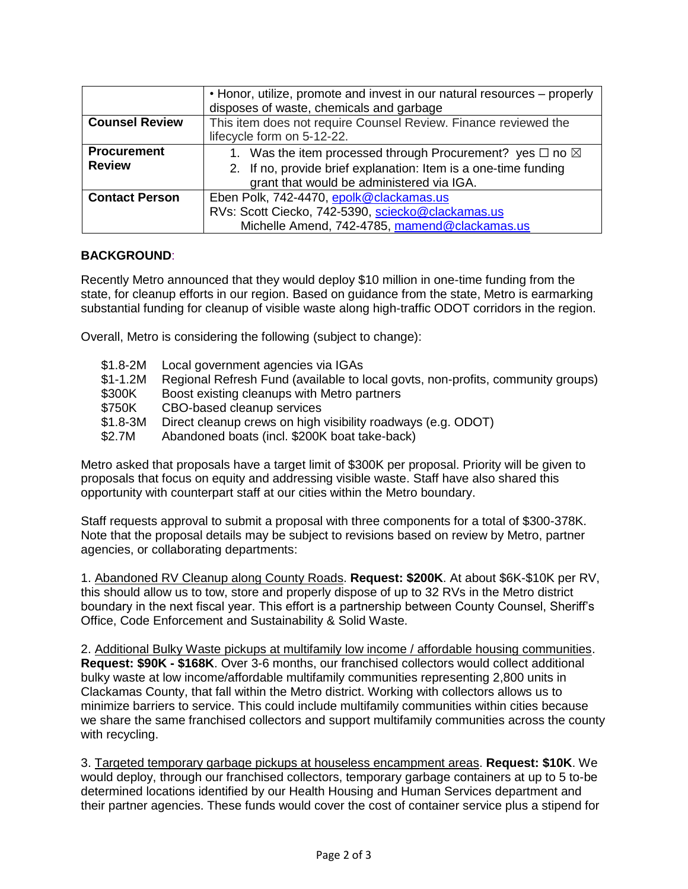|                       | • Honor, utilize, promote and invest in our natural resources – properly<br>disposes of waste, chemicals and garbage |  |  |  |
|-----------------------|----------------------------------------------------------------------------------------------------------------------|--|--|--|
| <b>Counsel Review</b> | This item does not require Counsel Review. Finance reviewed the                                                      |  |  |  |
|                       | lifecycle form on 5-12-22.                                                                                           |  |  |  |
| <b>Procurement</b>    | 1. Was the item processed through Procurement? yes $\Box$ no $\boxtimes$                                             |  |  |  |
| <b>Review</b>         | 2. If no, provide brief explanation: Item is a one-time funding                                                      |  |  |  |
|                       | grant that would be administered via IGA.                                                                            |  |  |  |
| <b>Contact Person</b> | Eben Polk, 742-4470, epolk@clackamas.us                                                                              |  |  |  |
|                       | RVs: Scott Ciecko, 742-5390, sciecko@clackamas.us                                                                    |  |  |  |
|                       | Michelle Amend, 742-4785, mamend@clackamas.us                                                                        |  |  |  |

# **BACKGROUND**:

Recently Metro announced that they would deploy \$10 million in one-time funding from the state, for cleanup efforts in our region. Based on guidance from the state, Metro is earmarking substantial funding for cleanup of visible waste along high-traffic ODOT corridors in the region.

Overall, Metro is considering the following (subject to change):

\$1.8-2M Local government agencies via IGAs \$1-1.2M Regional Refresh Fund (available to local govts, non-profits, community groups) \$300K Boost existing cleanups with Metro partners \$750K CBO-based cleanup services \$1.8-3M Direct cleanup crews on high visibility roadways (e.g. ODOT) \$2.7M Abandoned boats (incl. \$200K boat take-back)

Metro asked that proposals have a target limit of \$300K per proposal. Priority will be given to proposals that focus on equity and addressing visible waste. Staff have also shared this opportunity with counterpart staff at our cities within the Metro boundary.

Staff requests approval to submit a proposal with three components for a total of \$300-378K. Note that the proposal details may be subject to revisions based on review by Metro, partner agencies, or collaborating departments:

1. Abandoned RV Cleanup along County Roads. **Request: \$200K**. At about \$6K-\$10K per RV, this should allow us to tow, store and properly dispose of up to 32 RVs in the Metro district boundary in the next fiscal year. This effort is a partnership between County Counsel, Sheriff's Office, Code Enforcement and Sustainability & Solid Waste.

2. Additional Bulky Waste pickups at multifamily low income / affordable housing communities. **Request: \$90K - \$168K**. Over 3-6 months, our franchised collectors would collect additional bulky waste at low income/affordable multifamily communities representing 2,800 units in Clackamas County, that fall within the Metro district. Working with collectors allows us to minimize barriers to service. This could include multifamily communities within cities because we share the same franchised collectors and support multifamily communities across the county with recycling.

3. Targeted temporary garbage pickups at houseless encampment areas. **Request: \$10K**. We would deploy, through our franchised collectors, temporary garbage containers at up to 5 to-be determined locations identified by our Health Housing and Human Services department and their partner agencies. These funds would cover the cost of container service plus a stipend for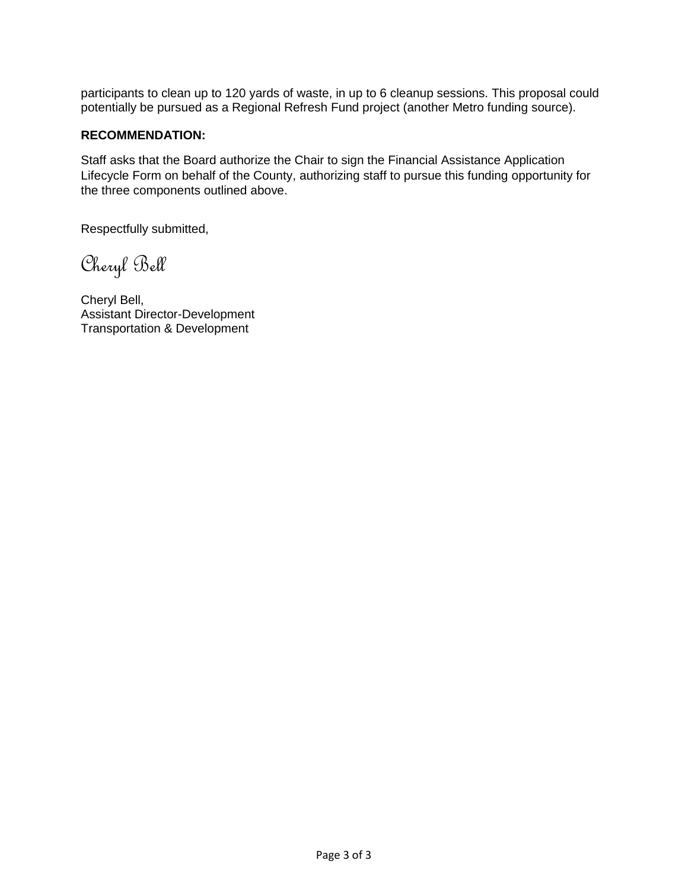participants to clean up to 120 yards of waste, in up to 6 cleanup sessions. This proposal could potentially be pursued as a Regional Refresh Fund project (another Metro funding source).

# **RECOMMENDATION:**

Staff asks that the Board authorize the Chair to sign the Financial Assistance Application Lifecycle Form on behalf of the County, authorizing staff to pursue this funding opportunity for the three components outlined above.

Respectfully submitted,

Cheryl Bell

Cheryl Bell, Assistant Director-Development Transportation & Development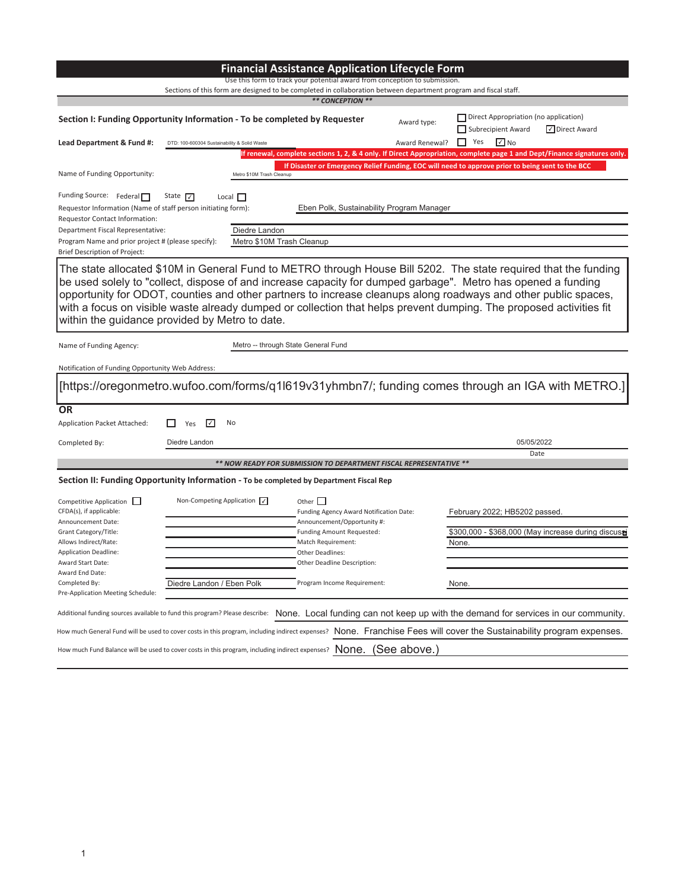| <b>Financial Assistance Application Lifecycle Form</b>                                                                                                                                                                                                                                                                                                                                                                                                                                                                    |                                              |                                                            |                                                                                                                                                                                                 |                |                                                                                                                          |  |
|---------------------------------------------------------------------------------------------------------------------------------------------------------------------------------------------------------------------------------------------------------------------------------------------------------------------------------------------------------------------------------------------------------------------------------------------------------------------------------------------------------------------------|----------------------------------------------|------------------------------------------------------------|-------------------------------------------------------------------------------------------------------------------------------------------------------------------------------------------------|----------------|--------------------------------------------------------------------------------------------------------------------------|--|
| Use this form to track your potential award from conception to submission.<br>Sections of this form are designed to be completed in collaboration between department program and fiscal staff.                                                                                                                                                                                                                                                                                                                            |                                              |                                                            |                                                                                                                                                                                                 |                |                                                                                                                          |  |
|                                                                                                                                                                                                                                                                                                                                                                                                                                                                                                                           |                                              |                                                            | ** CONCEPTION **                                                                                                                                                                                |                |                                                                                                                          |  |
| Section I: Funding Opportunity Information - To be completed by Requester                                                                                                                                                                                                                                                                                                                                                                                                                                                 |                                              |                                                            |                                                                                                                                                                                                 | Award type:    | Direct Appropriation (no application)<br>Subrecipient Award<br>√ Direct Award                                            |  |
| Lead Department & Fund #:                                                                                                                                                                                                                                                                                                                                                                                                                                                                                                 | DTD: 100-600304 Sustainability & Solid Waste |                                                            |                                                                                                                                                                                                 | Award Renewal? | П.<br>Yes<br>$\sqrt{ }$ No                                                                                               |  |
|                                                                                                                                                                                                                                                                                                                                                                                                                                                                                                                           |                                              |                                                            |                                                                                                                                                                                                 |                | If renewal, complete sections 1, 2, & 4 only. If Direct Appropriation, complete page 1 and Dept/Finance signatures only. |  |
| Name of Funding Opportunity:                                                                                                                                                                                                                                                                                                                                                                                                                                                                                              |                                              | Metro \$10M Trash Cleanup                                  |                                                                                                                                                                                                 |                | If Disaster or Emergency Relief Funding, EOC will need to approve prior to being sent to the BCC                         |  |
| Funding Source: Federal<br>Requestor Information (Name of staff person initiating form):<br>Requestor Contact Information:<br>Department Fiscal Representative:<br>Program Name and prior project # (please specify):                                                                                                                                                                                                                                                                                                     | State $\nabla$                               | Local $\Box$<br>Diedre Landon<br>Metro \$10M Trash Cleanup | Eben Polk, Sustainability Program Manager                                                                                                                                                       |                |                                                                                                                          |  |
| Brief Description of Project:                                                                                                                                                                                                                                                                                                                                                                                                                                                                                             |                                              |                                                            |                                                                                                                                                                                                 |                |                                                                                                                          |  |
| The state allocated \$10M in General Fund to METRO through House Bill 5202. The state required that the funding<br>be used solely to "collect, dispose of and increase capacity for dumped garbage". Metro has opened a funding<br>opportunity for ODOT, counties and other partners to increase cleanups along roadways and other public spaces,<br>with a focus on visible waste already dumped or collection that helps prevent dumping. The proposed activities fit<br>within the guidance provided by Metro to date. |                                              |                                                            |                                                                                                                                                                                                 |                |                                                                                                                          |  |
| Name of Funding Agency:                                                                                                                                                                                                                                                                                                                                                                                                                                                                                                   |                                              | Metro -- through State General Fund                        |                                                                                                                                                                                                 |                |                                                                                                                          |  |
| Notification of Funding Opportunity Web Address:                                                                                                                                                                                                                                                                                                                                                                                                                                                                          |                                              |                                                            |                                                                                                                                                                                                 |                |                                                                                                                          |  |
|                                                                                                                                                                                                                                                                                                                                                                                                                                                                                                                           |                                              |                                                            |                                                                                                                                                                                                 |                | [https://oregonmetro.wufoo.com/forms/q1l619v31yhmbn7/; funding comes through an IGA with METRO.]                         |  |
| <b>OR</b>                                                                                                                                                                                                                                                                                                                                                                                                                                                                                                                 |                                              |                                                            |                                                                                                                                                                                                 |                |                                                                                                                          |  |
| Application Packet Attached:                                                                                                                                                                                                                                                                                                                                                                                                                                                                                              | $\mathcal{U}$<br>Yes                         | No                                                         |                                                                                                                                                                                                 |                |                                                                                                                          |  |
| Completed By:                                                                                                                                                                                                                                                                                                                                                                                                                                                                                                             | Diedre Landon                                |                                                            |                                                                                                                                                                                                 |                | 05/05/2022                                                                                                               |  |
|                                                                                                                                                                                                                                                                                                                                                                                                                                                                                                                           |                                              |                                                            |                                                                                                                                                                                                 |                | Date                                                                                                                     |  |
|                                                                                                                                                                                                                                                                                                                                                                                                                                                                                                                           |                                              |                                                            | ** NOW READY FOR SUBMISSION TO DEPARTMENT FISCAL REPRESENTATIVE **                                                                                                                              |                |                                                                                                                          |  |
| Section II: Funding Opportunity Information - To be completed by Department Fiscal Rep                                                                                                                                                                                                                                                                                                                                                                                                                                    |                                              |                                                            |                                                                                                                                                                                                 |                |                                                                                                                          |  |
| Competitive Application<br>CFDA(s), if applicable:<br>Announcement Date:<br>Grant Category/Title:<br>Allows Indirect/Rate:<br><b>Application Deadline:</b><br><b>Award Start Date:</b>                                                                                                                                                                                                                                                                                                                                    | Non-Competing Application $\sqrt{}$          |                                                            | Other $\square$<br>Funding Agency Award Notification Date:<br>Announcement/Opportunity #:<br>Funding Amount Requested:<br>Match Requirement:<br>Other Deadlines:<br>Other Deadline Description: |                | February 2022; HB5202 passed<br>\$300,000 - \$368,000 (May increase during discuse<br>None.                              |  |
| Award End Date:<br>Completed By:                                                                                                                                                                                                                                                                                                                                                                                                                                                                                          | Diedre Landon / Eben Polk                    |                                                            | Program Income Requirement:                                                                                                                                                                     |                | None.                                                                                                                    |  |
| Pre-Application Meeting Schedule:                                                                                                                                                                                                                                                                                                                                                                                                                                                                                         |                                              |                                                            |                                                                                                                                                                                                 |                |                                                                                                                          |  |
| Additional funding sources available to fund this program? Please describe: None. Local funding can not keep up with the demand for services in our community.                                                                                                                                                                                                                                                                                                                                                            |                                              |                                                            |                                                                                                                                                                                                 |                |                                                                                                                          |  |
| How much General Fund will be used to cover costs in this program, including indirect expenses? None. Franchise Fees will cover the Sustainability program expenses.                                                                                                                                                                                                                                                                                                                                                      |                                              |                                                            |                                                                                                                                                                                                 |                |                                                                                                                          |  |
| (See above.)<br>How much Fund Balance will be used to cover costs in this program, including indirect expenses? $\Box$ ONE.                                                                                                                                                                                                                                                                                                                                                                                               |                                              |                                                            |                                                                                                                                                                                                 |                |                                                                                                                          |  |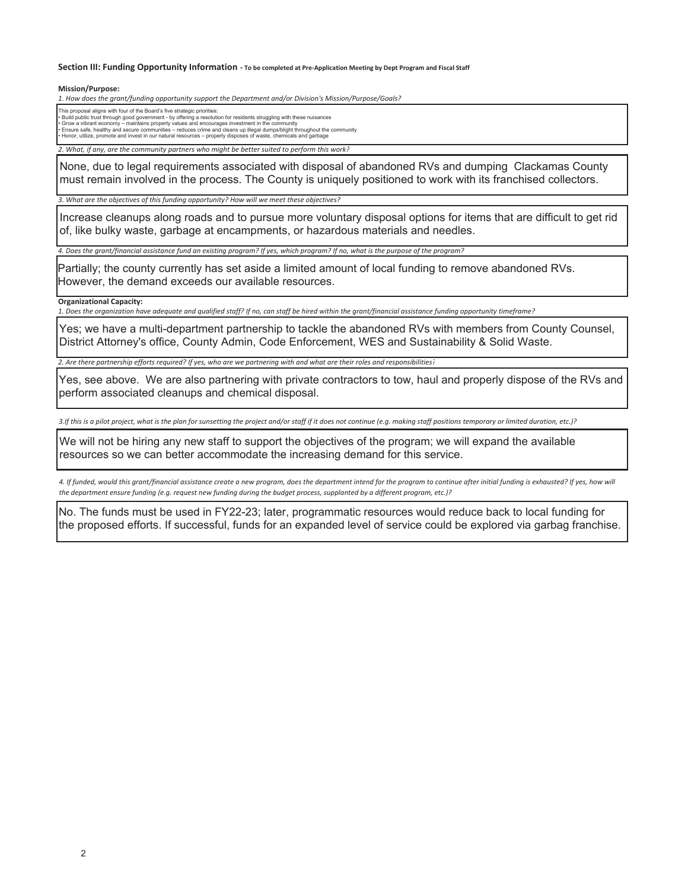#### Section III: Funding Opportunity Information - To be completed at Pre-Application Meeting by Dept Program and Fiscal Staff

**Mission/Purpose:**

*1. How does the ŐƌĂŶƚͬĨƵŶĚŝŶŐŽƉƉŽƌƚƵŶŝƚLJ support the Department and/or Division's Mission/Purpose/Goals?*

This proposal aligns with four of the Board's five strategic priorities: • Build public trust through good government - by offering a resolution for residents struggling with these nuisances<br>• Grow a vibrant economy – maintains property values and encourages investment in the community<br>• Ensur

*2. What, if any, are the community partners who might be better suited to perform this work?*

None, due to legal requirements associated with disposal of abandoned RVs and dumping Clackamas County must remain involved in the process. The County is uniquely positioned to work with its franchised collectors.

*3. What are the objectives of this ĨƵŶĚŝŶŐŽƉƉŽƌƚƵŶŝƚLJ? How will we meet these objectives?*

Increase cleanups along roads and to pursue more voluntary disposal options for items that are difficult to get rid of, like bulky waste, garbage at encampments, or hazardous materials and needles.

4. Does the grant/financial assistance fund an existing program? If yes, which program? If no, what is the purpose of the program?

Partially; the county currently has set aside a limited amount of local funding to remove abandoned RVs. However, the demand exceeds our available resources.

### **Organizational Capacity:**

1. Does the organization have adequate and qualified staff? If no, can staff be hired within the grant/financial assistance funding opportunity timeframe?

Yes; we have a multi-department partnership to tackle the abandoned RVs with members from County Counsel, District Attorney's office, County Admin, Code Enforcement, WES and Sustainability & Solid Waste.

2. Are there partnership efforts required? If yes, who are we partnering with and what are their roles and responsibilities?

Yes, see above. We are also partnering with private contractors to tow, haul and properly dispose of the RVs and perform associated cleanups and chemical disposal.

3.If this is a pilot project, what is the plan for sunsetting the project and/or staff if it does not continue (e.g. making staff positions temporary or limited duration, etc.)?

We will not be hiring any new staff to support the objectives of the program; we will expand the available resources so we can better accommodate the increasing demand for this service.

4. If funded, would this grant/financial assistance create a new program, does the department intend for the program to continue after initial funding is exhausted? If yes, how will the department ensure funding (e.g. request new funding during the budget process, supplanted by a different program, etc.)?

No. The funds must be used in FY22-23; later, programmatic resources would reduce back to local funding for the proposed efforts. If successful, funds for an expanded level of service could be explored via garbag franchise.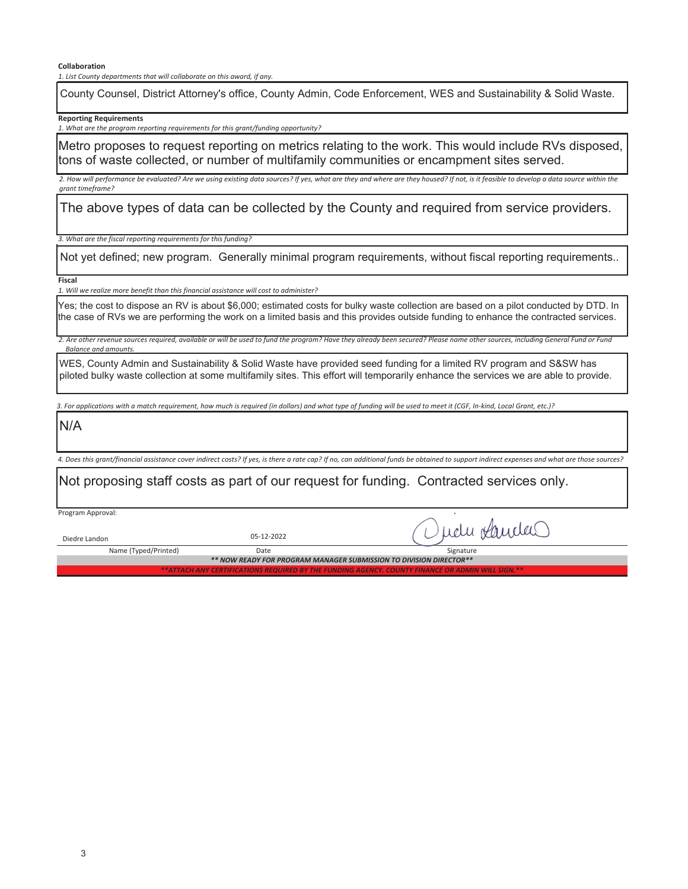**Collaboration**

*1. List County departments that will collaborate on this award, if any.*

County Counsel, District Attorney's office, County Admin, Code Enforcement, WES and Sustainability & Solid Waste.

**Reporting Requirements**

*1. What are the program reporting requirements for this grant/funding opportunity?* 

Metro proposes to request reporting on metrics relating to the work. This would include RVs disposed, tons of waste collected, or number of multifamily communities or encampment sites served.

2. How will performance be evaluated? Are we using existing data sources? If yes, what are they and where are they housed? If not, is it feasible to develop a data source within the *grant timeframe?*

The above types of data can be collected by the County and required from service providers.

*3. What are the fiscal reporting requirements for this ĨƵŶĚŝŶŐ?*

Not yet defined; new program. Generally minimal program requirements, without fiscal reporting requirements..

**Fiscal**

*1. Will we realize more benefit than this ĨŝŶĂŶĐŝĂůĂƐƐŝƐƚĂŶĐĞ will cost to administer?*

Yes; the cost to dispose an RV is about \$6,000; estimated costs for bulky waste collection are based on a pilot conducted by DTD. In the case of RVs we are performing the work on a limited basis and this provides outside funding to enhance the contracted services.

2. Are other revenue sources required, available or will be used to fund the program? Have they already been secured? Please name other sources, including General Fund or Fund *Balance and amounts* 

WES, County Admin and Sustainability & Solid Waste have provided seed funding for a limited RV program and S&SW has piloted bulky waste collection at some multifamily sites. This effort will temporarily enhance the services we are able to provide.

3. For applications with a match requirement, how much is required (in dollars) and what type of funding will be used to meet it (CGF, In-kind, Local Grant, etc.)?

N/A

4. Does this grant/financial assistance cover indirect costs? If yes, is there a rate cap? If no, can additional funds be obtained to support indirect expenses and what are those sources?

Not proposing staff costs as part of our request for funding. Contracted services only.

Program Approval:

Diedre Landon 05-12-2022

udu randas

Name (Typed/Printed) Date Signature *\*\* NOW READY FOR PROGRAM MANAGER SUBMISSION TO DIVISION DIRECTOR\*\* \*\*ATTACH ANY CERTIFICATIONS REQUIRED BY THE FUNDING AGENCY. COUNTY FINANCE OR ADMIN WILL SIGN.\*\**